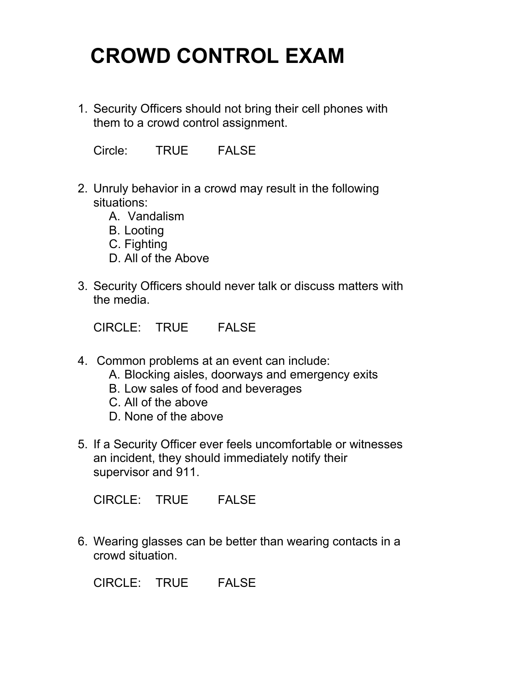## **CROWD CONTROL EXAM**

1. Security Officers should not bring their cell phones with them to a crowd control assignment.

Circle: TRUE FALSE

- 2. Unruly behavior in a crowd may result in the following situations:
	- A. Vandalism
	- B. Looting
	- C. Fighting
	- D. All of the Above
- 3. Security Officers should never talk or discuss matters with the media.

CIRCLE: TRUE FALSE

- 4. Common problems at an event can include:
	- A. Blocking aisles, doorways and emergency exits
	- B. Low sales of food and beverages
	- C. All of the above
	- D. None of the above
- 5. If a Security Officer ever feels uncomfortable or witnesses an incident, they should immediately notify their supervisor and 911.

CIRCLE: TRUE FALSE

6. Wearing glasses can be better than wearing contacts in a crowd situation.

CIRCLE: TRUE FALSE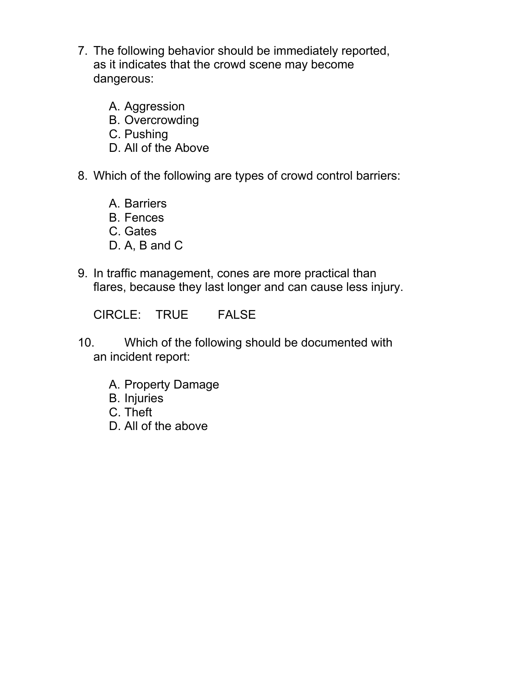- 7. The following behavior should be immediately reported, as it indicates that the crowd scene may become dangerous:
	- A. Aggression
	- B. Overcrowding
	- C. Pushing
	- D. All of the Above
- 8. Which of the following are types of crowd control barriers:
	- A. Barriers
	- B. Fences
	- C. Gates
	- D. A, B and C
- 9. In traffic management, cones are more practical than flares, because they last longer and can cause less injury.

CIRCLE: TRUE FALSE

- 10. Which of the following should be documented with an incident report:
	- A. Property Damage
	- B. Injuries
	- C. Theft
	- D. All of the above